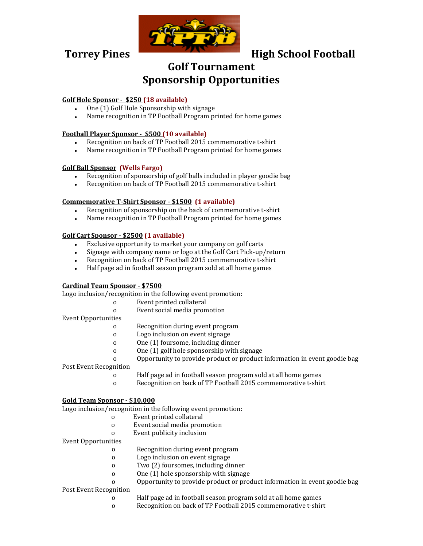

# **Torrey Pines High School Football**

## **Golf Tournament Sponsorship Opportunities**

### **Golf Hole Sponsor - \$250 (18 available)**

- One (1) Golf Hole Sponsorship with signage
- Name recognition in TP Football Program printed for home games

#### **Football Player Sponsor - \$500 (10 available)**

- Recognition on back of TP Football 2015 commemorative t-shirt
- Name recognition in TP Football Program printed for home games

#### **Golf Ball Sponsor (Wells Fargo)**

- Recognition of sponsorship of golf balls included in player goodie bag
- Recognition on back of TP Football 2015 commemorative t-shirt

#### **Commemorative T-Shirt Sponsor - \$1500 (1 available)**

- Recognition of sponsorship on the back of commemorative t-shirt
- Name recognition in TP Football Program printed for home games

#### **Golf Cart Sponsor - \$2500 (1 available)**

- Exclusive opportunity to market your company on golf carts
- Signage with company name or logo at the Golf Cart Pick-up/return
- Recognition on back of TP Football 2015 commemorative t-shirt
- Half page ad in football season program sold at all home games

#### **Cardinal Team Sponsor - \$7500**

Logo inclusion/recognition in the following event promotion:

- o Event printed collateral
- o Event social media promotion
- Event Opportunities
	- o Recognition during event program
	- o Logo inclusion on event signage
	- o One (1) foursome, including dinner
	- o One (1) golf hole sponsorship with signage
	- o Opportunity to provide product or product information in event goodie bag

Post Event Recognition

- o Half page ad in football season program sold at all home games
- o Recognition on back of TP Football 2015 commemorative t-shirt

#### **Gold Team Sponsor - \$10,000**

Logo inclusion/recognition in the following event promotion:

- o Event printed collateral
- o Event social media promotion
- o Event publicity inclusion

#### Event Opportunities

- o Recognition during event program
- o Logo inclusion on event signage
- o Two (2) foursomes, including dinner
- o One (1) hole sponsorship with signage
- o Opportunity to provide product or product information in event goodie bag

Post Event Recognition

- o Half page ad in football season program sold at all home games
- o Recognition on back of TP Football 2015 commemorative t-shirt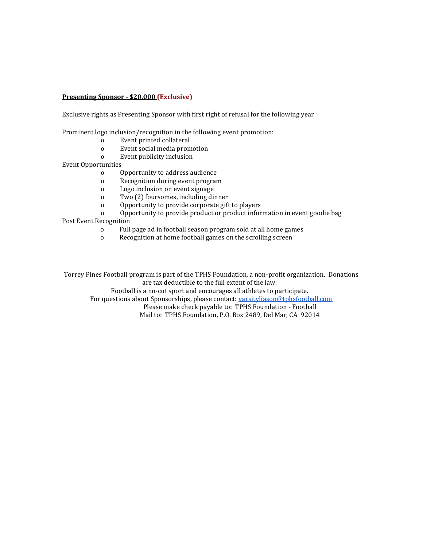#### **Presenting Sponsor - \$20,000 (Exclusive)**

Exclusive rights as Presenting Sponsor with first right of refusal for the following year

Prominent logo inclusion/recognition in the following event promotion:

- o Event printed collateral
- o Event social media promotion
- o Event publicity inclusion

Event Opportunities

- o Opportunity to address audience
- o Recognition during event program
- o Logo inclusion on event signage
- o Two (2) foursomes, including dinner
- o Opportunity to provide corporate gift to players
- o Opportunity to provide product or product information in event goodie bag

Post Event Recognition

- o Full page ad in football season program sold at all home games
- o Recognition at home football games on the scrolling screen

Torrey Pines Football program is part of the TPHS Foundation, a non-profit organization. Donations are tax deductible to the full extent of the law.

Football is a no-cut sport and encourages all athletes to participate.

For questions about Sponsorships, please contact: varsityliason@tphsfootball.com

[Please make check payable to: TPHS Foundation -](mailto:varsityliason@tphsfootball.com) Football

Mail to: TPHS Foundation, P.O. Box 2489, Del Mar, CA 92014